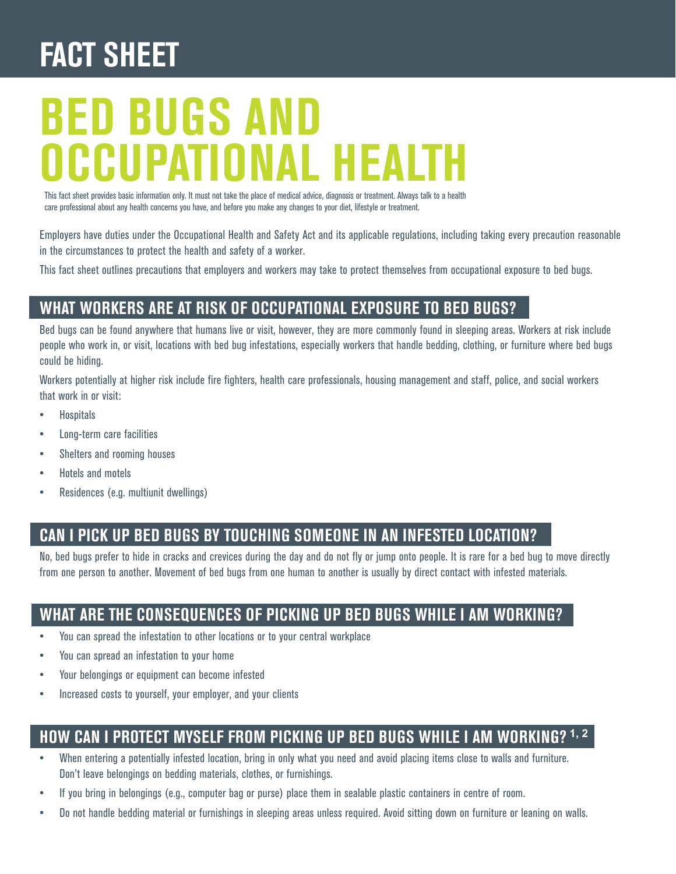## **FACT SHEET**

# **BEd BugS And oCCupATionAl HEAlTH**

This fact sheet provides basic information only. It must not take the place of medical advice, diagnosis or treatment. Always talk to a health care professional about any health concerns you have, and before you make any changes to your diet, lifestyle or treatment.

Employers have duties under the Occupational Health and Safety Act and its applicable regulations, including taking every precaution reasonable in the circumstances to protect the health and safety of a worker.

This fact sheet outlines precautions that employers and workers may take to protect themselves from occupational exposure to bed bugs.

#### **WHAT WorkErS ArE AT riSk oF oCCupATionAl ExpoSurE To BEd BugS?**

Bed bugs can be found anywhere that humans live or visit, however, they are more commonly found in sleeping areas. Workers at risk include people who work in, or visit, locations with bed bug infestations, especially workers that handle bedding, clothing, or furniture where bed bugs could be hiding.

Workers potentially at higher risk include fire fighters, health care professionals, housing management and staff, police, and social workers that work in or visit:

- **Hospitals**
- Long-term care facilities
- Shelters and rooming houses
- Hotels and motels
- Residences (e.g. multiunit dwellings)

#### **CAn i piCk up BEd BugS By TouCHing SomEonE in An inFESTEd loCATion?**

No, bed bugs prefer to hide in cracks and crevices during the day and do not fly or jump onto people. It is rare for a bed bug to move directly from one person to another. Movement of bed bugs from one human to another is usually by direct contact with infested materials.

#### **WHAT ArE THE ConSEquEnCES oF piCking up BEd BugS WHilE i Am Working?**

- You can spread the infestation to other locations or to your central workplace
- You can spread an infestation to your home
- Your belongings or equipment can become infested
- Increased costs to yourself, your employer, and your clients

#### **HoW CAn i proTECT mySElF From piCking up BEd BugS WHilE i Am Working? [1](#page-1-0), [2](#page-1-0)**

- When entering a potentially infested location, bring in only what you need and avoid placing items close to walls and furniture. Don't leave belongings on bedding materials, clothes, or furnishings.
- If you bring in belongings (e.g., computer bag or purse) place them in sealable plastic containers in centre of room.
- Do not handle bedding material or furnishings in sleeping areas unless required. Avoid sitting down on furniture or leaning on walls.